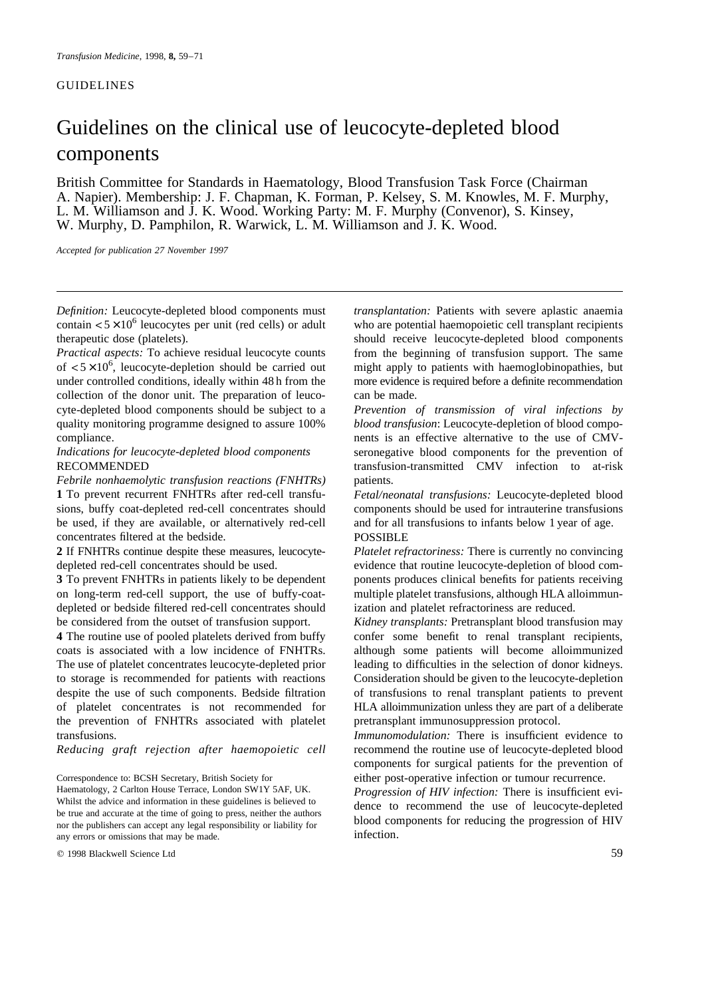## GUIDELINES

# Guidelines on the clinical use of leucocyte-depleted blood components

British Committee for Standards in Haematology, Blood Transfusion Task Force (Chairman A. Napier). Membership: J. F. Chapman, K. Forman, P. Kelsey, S. M. Knowles, M. F. Murphy, L. M. Williamson and J. K. Wood. Working Party: M. F. Murphy (Convenor), S. Kinsey, W. Murphy, D. Pamphilon, R. Warwick, L. M. Williamson and J. K. Wood.

*Accepted for publication 27 November 1997*

*Definition:* Leucocyte-depleted blood components must contain  $< 5 \times 10^6$  leucocytes per unit (red cells) or adult therapeutic dose (platelets).

*Practical aspects:* To achieve residual leucocyte counts of  $\langle 5 \times 10^6 \rangle$  leucocyte-depletion should be carried out under controlled conditions, ideally within 48 h from the collection of the donor unit. The preparation of leucocyte-depleted blood components should be subject to a quality monitoring programme designed to assure 100% compliance.

## *Indications for leucocyte-depleted blood components* RECOMMENDED

*Febrile nonhaemolytic transfusion reactions (FNHTRs)* **1** To prevent recurrent FNHTRs after red-cell transfusions, buffy coat-depleted red-cell concentrates should be used, if they are available, or alternatively red-cell concentrates filtered at the bedside.

**2** If FNHTRs continue despite these measures, leucocytedepleted red-cell concentrates should be used.

**3** To prevent FNHTRs in patients likely to be dependent on long-term red-cell support, the use of buffy-coatdepleted or bedside filtered red-cell concentrates should be considered from the outset of transfusion support.

**4** The routine use of pooled platelets derived from buffy coats is associated with a low incidence of FNHTRs. The use of platelet concentrates leucocyte-depleted prior to storage is recommended for patients with reactions despite the use of such components. Bedside filtration of platelet concentrates is not recommended for the prevention of FNHTRs associated with platelet transfusions.

*Reducing graft rejection after haemopoietic cell*

Correspondence to: BCSH Secretary, British Society for

Haematology, 2 Carlton House Terrace, London SW1Y 5AF, UK. Whilst the advice and information in these guidelines is believed to be true and accurate at the time of going to press, neither the authors nor the publishers can accept any legal responsibility or liability for any errors or omissions that may be made.

q 1998 Blackwell Science Ltd 59

*transplantation:* Patients with severe aplastic anaemia who are potential haemopoietic cell transplant recipients should receive leucocyte-depleted blood components from the beginning of transfusion support. The same might apply to patients with haemoglobinopathies, but more evidence is required before a definite recommendation can be made.

*Prevention of transmission of viral infections by blood transfusion*: Leucocyte-depletion of blood components is an effective alternative to the use of CMVseronegative blood components for the prevention of transfusion-transmitted CMV infection to at-risk patients.

*Fetal/neonatal transfusions:* Leucocyte-depleted blood components should be used for intrauterine transfusions and for all transfusions to infants below 1 year of age. **POSSIBLE** 

*Platelet refractoriness:* There is currently no convincing evidence that routine leucocyte-depletion of blood components produces clinical benefits for patients receiving multiple platelet transfusions, although HLA alloimmunization and platelet refractoriness are reduced.

*Kidney transplants:* Pretransplant blood transfusion may confer some benefit to renal transplant recipients, although some patients will become alloimmunized leading to difficulties in the selection of donor kidneys. Consideration should be given to the leucocyte-depletion of transfusions to renal transplant patients to prevent HLA alloimmunization unless they are part of a deliberate pretransplant immunosuppression protocol.

*Immunomodulation:* There is insufficient evidence to recommend the routine use of leucocyte-depleted blood components for surgical patients for the prevention of either post-operative infection or tumour recurrence.

*Progression of HIV infection:* There is insufficient evidence to recommend the use of leucocyte-depleted blood components for reducing the progression of HIV infection.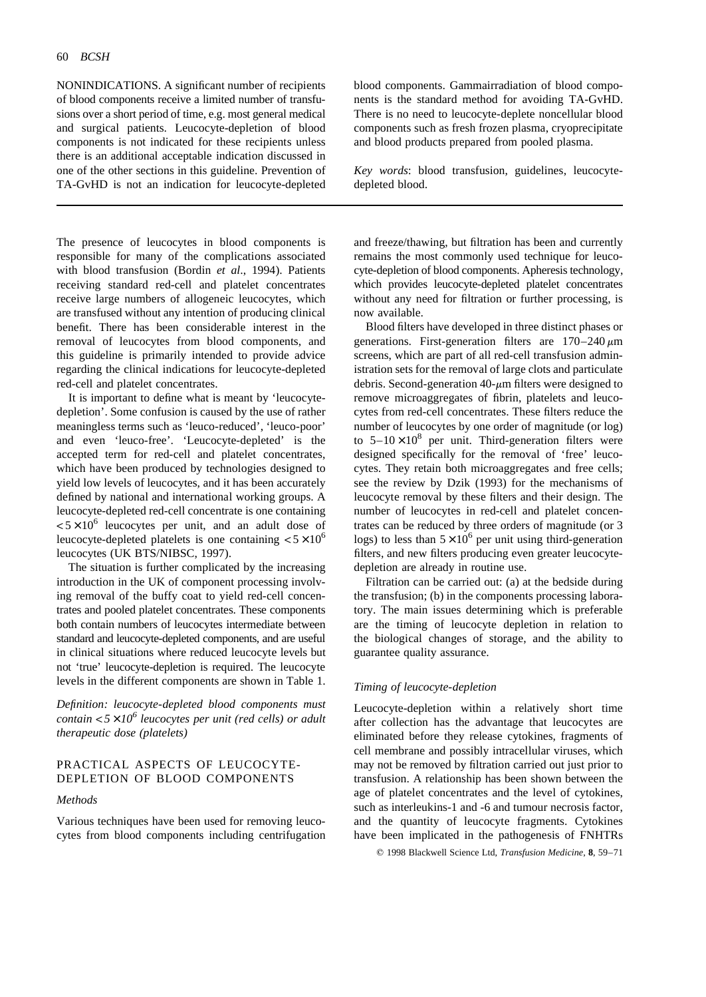NONINDICATIONS. A significant number of recipients of blood components receive a limited number of transfusions over a short period of time, e.g. most general medical and surgical patients. Leucocyte-depletion of blood components is not indicated for these recipients unless there is an additional acceptable indication discussed in one of the other sections in this guideline. Prevention of TA-GvHD is not an indication for leucocyte-depleted

blood components. Gammairradiation of blood components is the standard method for avoiding TA-GvHD. There is no need to leucocyte-deplete noncellular blood components such as fresh frozen plasma, cryoprecipitate and blood products prepared from pooled plasma.

*Key words*: blood transfusion, guidelines, leucocytedepleted blood.

The presence of leucocytes in blood components is responsible for many of the complications associated with blood transfusion (Bordin *et al*., 1994). Patients receiving standard red-cell and platelet concentrates receive large numbers of allogeneic leucocytes, which are transfused without any intention of producing clinical benefit. There has been considerable interest in the removal of leucocytes from blood components, and this guideline is primarily intended to provide advice regarding the clinical indications for leucocyte-depleted red-cell and platelet concentrates.

It is important to define what is meant by 'leucocytedepletion'. Some confusion is caused by the use of rather meaningless terms such as 'leuco-reduced', 'leuco-poor' and even 'leuco-free'. 'Leucocyte-depleted' is the accepted term for red-cell and platelet concentrates, which have been produced by technologies designed to yield low levels of leucocytes, and it has been accurately defined by national and international working groups. A leucocyte-depleted red-cell concentrate is one containing  $5 \times 10^6$  leucocytes per unit, and an adult dose of leucocyte-depleted platelets is one containing  $\langle 5 \times 10^6 \rangle$ leucocytes (UK BTS/NIBSC, 1997).

The situation is further complicated by the increasing introduction in the UK of component processing involving removal of the buffy coat to yield red-cell concentrates and pooled platelet concentrates. These components both contain numbers of leucocytes intermediate between standard and leucocyte-depleted components, and are useful in clinical situations where reduced leucocyte levels but not 'true' leucocyte-depletion is required. The leucocyte levels in the different components are shown in Table 1.

*Definition: leucocyte-depleted blood components must contain* < *5* × *10<sup>6</sup> leucocytes per unit (red cells) or adult therapeutic dose (platelets)*

# PRACTICAL ASPECTS OF LEUCOCYTE-DEPLETION OF BLOOD COMPONENTS

## *Methods*

Various techniques have been used for removing leucocytes from blood components including centrifugation

and freeze/thawing, but filtration has been and currently remains the most commonly used technique for leucocyte-depletion of blood components. Apheresis technology, which provides leucocyte-depleted platelet concentrates without any need for filtration or further processing, is now available.

Blood filters have developed in three distinct phases or generations. First-generation filters are  $170-240 \,\mu m$ screens, which are part of all red-cell transfusion administration sets for the removal of large clots and particulate debris. Second-generation  $40$ - $\mu$ m filters were designed to remove microaggregates of fibrin, platelets and leucocytes from red-cell concentrates. These filters reduce the number of leucocytes by one order of magnitude (or log) to  $5-10\times10^8$  per unit. Third-generation filters were designed specifically for the removal of 'free' leucocytes. They retain both microaggregates and free cells; see the review by Dzik (1993) for the mechanisms of leucocyte removal by these filters and their design. The number of leucocytes in red-cell and platelet concentrates can be reduced by three orders of magnitude (or 3 logs) to less than  $5 \times 10^6$  per unit using third-generation filters, and new filters producing even greater leucocytedepletion are already in routine use.

Filtration can be carried out: (a) at the bedside during the transfusion; (b) in the components processing laboratory. The main issues determining which is preferable are the timing of leucocyte depletion in relation to the biological changes of storage, and the ability to guarantee quality assurance.

#### *Timing of leucocyte-depletion*

Leucocyte-depletion within a relatively short time after collection has the advantage that leucocytes are eliminated before they release cytokines, fragments of cell membrane and possibly intracellular viruses, which may not be removed by filtration carried out just prior to transfusion. A relationship has been shown between the age of platelet concentrates and the level of cytokines, such as interleukins-1 and -6 and tumour necrosis factor, and the quantity of leucocyte fragments. Cytokines have been implicated in the pathogenesis of FNHTRs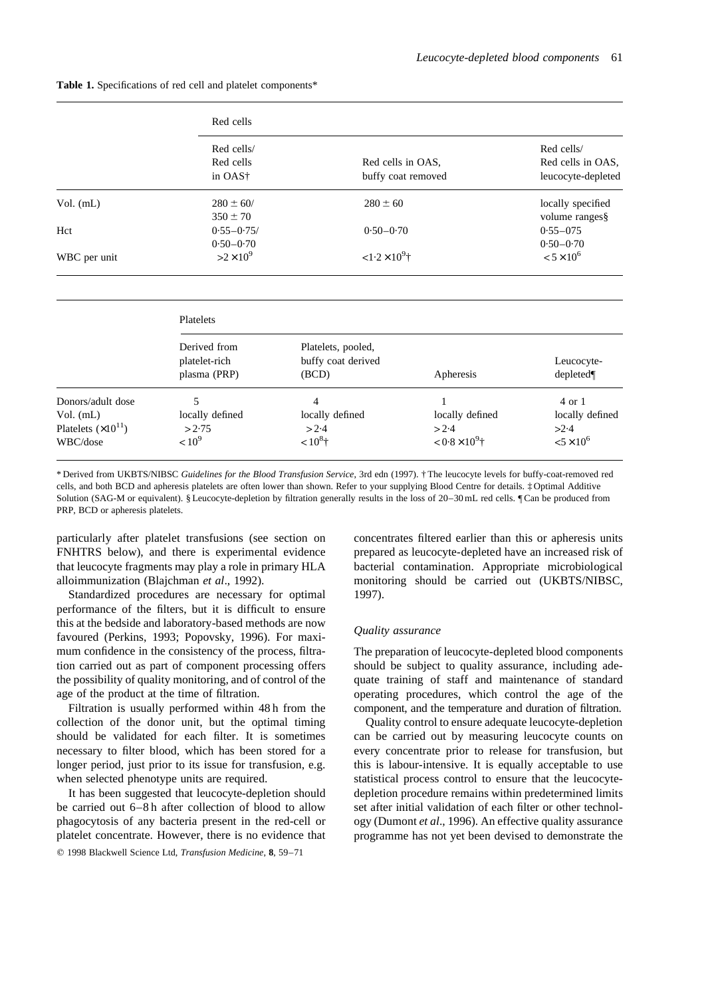|  |  |  |  |  | Table 1. Specifications of red cell and platelet components* |
|--|--|--|--|--|--------------------------------------------------------------|
|--|--|--|--|--|--------------------------------------------------------------|

|                              | Red cells       |                                 |                                         |                   |  |  |  |
|------------------------------|-----------------|---------------------------------|-----------------------------------------|-------------------|--|--|--|
|                              | Red cells/      |                                 |                                         | Red cells/        |  |  |  |
|                              | Red cells       | Red cells in OAS,               | Red cells in OAS,<br>leucocyte-depleted |                   |  |  |  |
|                              | in OAS†         | buffy coat removed              |                                         |                   |  |  |  |
| Vol. (mL)                    | $280 \pm 60$ /  | $280 \pm 60$                    |                                         | locally specified |  |  |  |
|                              | $350 \pm 70$    |                                 | volume ranges§                          |                   |  |  |  |
| Hct                          | $0.55 - 0.75/$  | $0.50 - 0.70$                   |                                         | $0.55 - 075$      |  |  |  |
|                              | $0.50 - 0.70$   |                                 |                                         | $0.50 - 0.70$     |  |  |  |
| WBC per unit                 | $>2\times10^9$  | $<1.2\times10^{9}$ <sup>+</sup> |                                         | $< 5 \times 10^6$ |  |  |  |
|                              | Platelets       |                                 |                                         |                   |  |  |  |
|                              | Derived from    | Platelets, pooled,              |                                         |                   |  |  |  |
|                              | platelet-rich   | buffy coat derived              |                                         | Leucocyte-        |  |  |  |
|                              | plasma (PRP)    | (BCD)                           | Apheresis                               | depleted          |  |  |  |
| Donors/adult dose            | 5               | $\overline{4}$                  | 1                                       | 4 or 1            |  |  |  |
| $Vol.$ (mL)                  | locally defined | locally defined                 | locally defined                         | locally defined   |  |  |  |
| Platelets $(\times 10^{11})$ | >2.75           | > 2.4                           | > 2.4                                   | >2.4              |  |  |  |
| WBC/dose                     | $< 10^{9}$      | $< 10^8$ <sup>+</sup>           | $< 0.8 \times 10^{9}$ †                 | $5 \times 10^6$   |  |  |  |

\* Derived from UKBTS/NIBSC *Guidelines for the Blood Transfusion Service*, 3rd edn (1997). † The leucocyte levels for buffy-coat-removed red cells, and both BCD and apheresis platelets are often lower than shown. Refer to your supplying Blood Centre for details. ‡ Optimal Additive Solution (SAG-M or equivalent). § Leucocyte-depletion by filtration generally results in the loss of 20–30 mL red cells. ¶Can be produced from PRP, BCD or apheresis platelets.

particularly after platelet transfusions (see section on FNHTRS below), and there is experimental evidence that leucocyte fragments may play a role in primary HLA alloimmunization (Blajchman *et al*., 1992).

Standardized procedures are necessary for optimal performance of the filters, but it is difficult to ensure this at the bedside and laboratory-based methods are now favoured (Perkins, 1993; Popovsky, 1996). For maximum confidence in the consistency of the process, filtration carried out as part of component processing offers the possibility of quality monitoring, and of control of the age of the product at the time of filtration.

Filtration is usually performed within 48 h from the collection of the donor unit, but the optimal timing should be validated for each filter. It is sometimes necessary to filter blood, which has been stored for a longer period, just prior to its issue for transfusion, e.g. when selected phenotype units are required.

It has been suggested that leucocyte-depletion should be carried out 6–8 h after collection of blood to allow phagocytosis of any bacteria present in the red-cell or platelet concentrate. However, there is no evidence that q 1998 Blackwell Science Ltd, *Transfusion Medicine*, **8**, 59–71

concentrates filtered earlier than this or apheresis units prepared as leucocyte-depleted have an increased risk of bacterial contamination. Appropriate microbiological monitoring should be carried out (UKBTS/NIBSC, 1997).

#### *Quality assurance*

The preparation of leucocyte-depleted blood components should be subject to quality assurance, including adequate training of staff and maintenance of standard operating procedures, which control the age of the component, and the temperature and duration of filtration.

Quality control to ensure adequate leucocyte-depletion can be carried out by measuring leucocyte counts on every concentrate prior to release for transfusion, but this is labour-intensive. It is equally acceptable to use statistical process control to ensure that the leucocytedepletion procedure remains within predetermined limits set after initial validation of each filter or other technology (Dumont *et al*., 1996). An effective quality assurance programme has not yet been devised to demonstrate the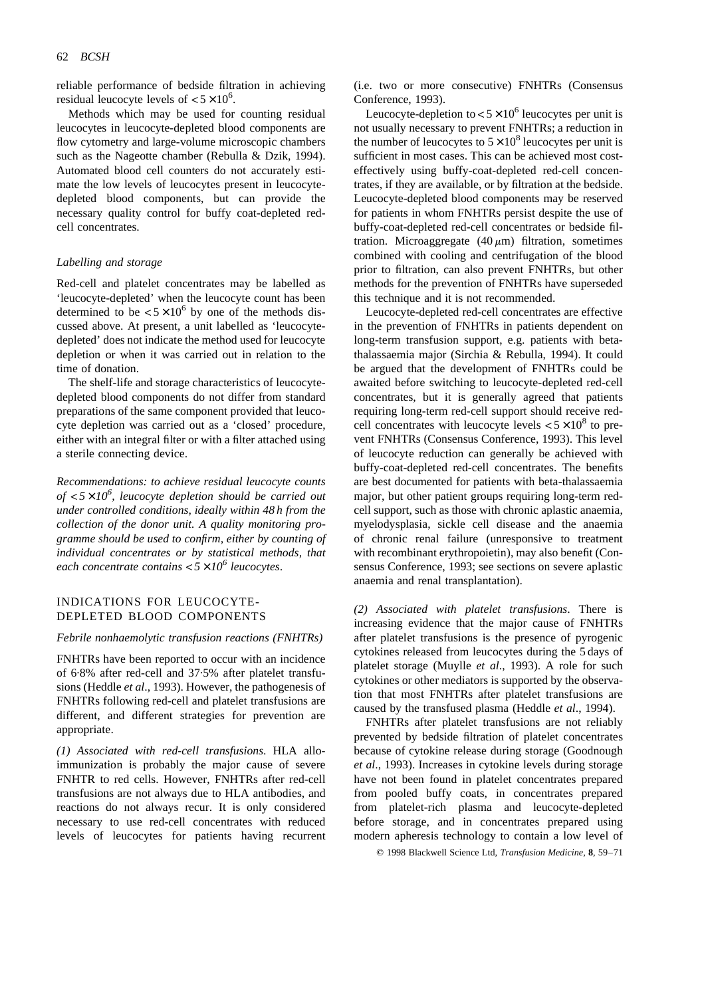reliable performance of bedside filtration in achieving residual leucocyte levels of  $\lt 5 \times 10^6$ .

Methods which may be used for counting residual leucocytes in leucocyte-depleted blood components are flow cytometry and large-volume microscopic chambers such as the Nageotte chamber (Rebulla & Dzik, 1994). Automated blood cell counters do not accurately estimate the low levels of leucocytes present in leucocytedepleted blood components, but can provide the necessary quality control for buffy coat-depleted redcell concentrates.

#### *Labelling and storage*

Red-cell and platelet concentrates may be labelled as 'leucocyte-depleted' when the leucocyte count has been determined to be  $\lt 5 \times 10^6$  by one of the methods discussed above. At present, a unit labelled as 'leucocytedepleted' does not indicate the method used for leucocyte depletion or when it was carried out in relation to the time of donation.

The shelf-life and storage characteristics of leucocytedepleted blood components do not differ from standard preparations of the same component provided that leucocyte depletion was carried out as a 'closed' procedure, either with an integral filter or with a filter attached using a sterile connecting device.

*Recommendations: to achieve residual leucocyte counts of* < *5* × *10<sup>6</sup> , leucocyte depletion should be carried out under controlled conditions, ideally within 48 h from the collection of the donor unit. A quality monitoring programme should be used to confirm, either by counting of individual concentrates or by statistical methods, that each concentrate contains* < *5* × *10<sup>6</sup> leucocytes.*

# INDICATIONS FOR LEUCOCYTE-DEPLETED BLOOD COMPONENTS

#### *Febrile nonhaemolytic transfusion reactions (FNHTRs)*

FNHTRs have been reported to occur with an incidence of 6·8% after red-cell and 37·5% after platelet transfusions (Heddle *et al*., 1993). However, the pathogenesis of FNHTRs following red-cell and platelet transfusions are different, and different strategies for prevention are appropriate.

*(1) Associated with red-cell transfusions*. HLA alloimmunization is probably the major cause of severe FNHTR to red cells. However, FNHTRs after red-cell transfusions are not always due to HLA antibodies, and reactions do not always recur. It is only considered necessary to use red-cell concentrates with reduced levels of leucocytes for patients having recurrent

(i.e. two or more consecutive) FNHTRs (Consensus Conference, 1993).

Leucocyte-depletion to  $< 5 \times 10^6$  leucocytes per unit is not usually necessary to prevent FNHTRs; a reduction in the number of leucocytes to  $5 \times 10^8$  leucocytes per unit is sufficient in most cases. This can be achieved most costeffectively using buffy-coat-depleted red-cell concentrates, if they are available, or by filtration at the bedside. Leucocyte-depleted blood components may be reserved for patients in whom FNHTRs persist despite the use of buffy-coat-depleted red-cell concentrates or bedside filtration. Microaggregate  $(40 \mu m)$  filtration, sometimes combined with cooling and centrifugation of the blood prior to filtration, can also prevent FNHTRs, but other methods for the prevention of FNHTRs have superseded this technique and it is not recommended.

Leucocyte-depleted red-cell concentrates are effective in the prevention of FNHTRs in patients dependent on long-term transfusion support, e.g. patients with betathalassaemia major (Sirchia & Rebulla, 1994). It could be argued that the development of FNHTRs could be awaited before switching to leucocyte-depleted red-cell concentrates, but it is generally agreed that patients requiring long-term red-cell support should receive redcell concentrates with leucocyte levels  $< 5 \times 10^8$  to prevent FNHTRs (Consensus Conference, 1993). This level of leucocyte reduction can generally be achieved with buffy-coat-depleted red-cell concentrates. The benefits are best documented for patients with beta-thalassaemia major, but other patient groups requiring long-term redcell support, such as those with chronic aplastic anaemia, myelodysplasia, sickle cell disease and the anaemia of chronic renal failure (unresponsive to treatment with recombinant erythropoietin), may also benefit (Consensus Conference, 1993; see sections on severe aplastic anaemia and renal transplantation).

*(2) Associated with platelet transfusions*. There is increasing evidence that the major cause of FNHTRs after platelet transfusions is the presence of pyrogenic cytokines released from leucocytes during the 5 days of platelet storage (Muylle *et al*., 1993). A role for such cytokines or other mediators is supported by the observation that most FNHTRs after platelet transfusions are caused by the transfused plasma (Heddle *et al*., 1994).

FNHTRs after platelet transfusions are not reliably prevented by bedside filtration of platelet concentrates because of cytokine release during storage (Goodnough *et al*., 1993). Increases in cytokine levels during storage have not been found in platelet concentrates prepared from pooled buffy coats, in concentrates prepared from platelet-rich plasma and leucocyte-depleted before storage, and in concentrates prepared using modern apheresis technology to contain a low level of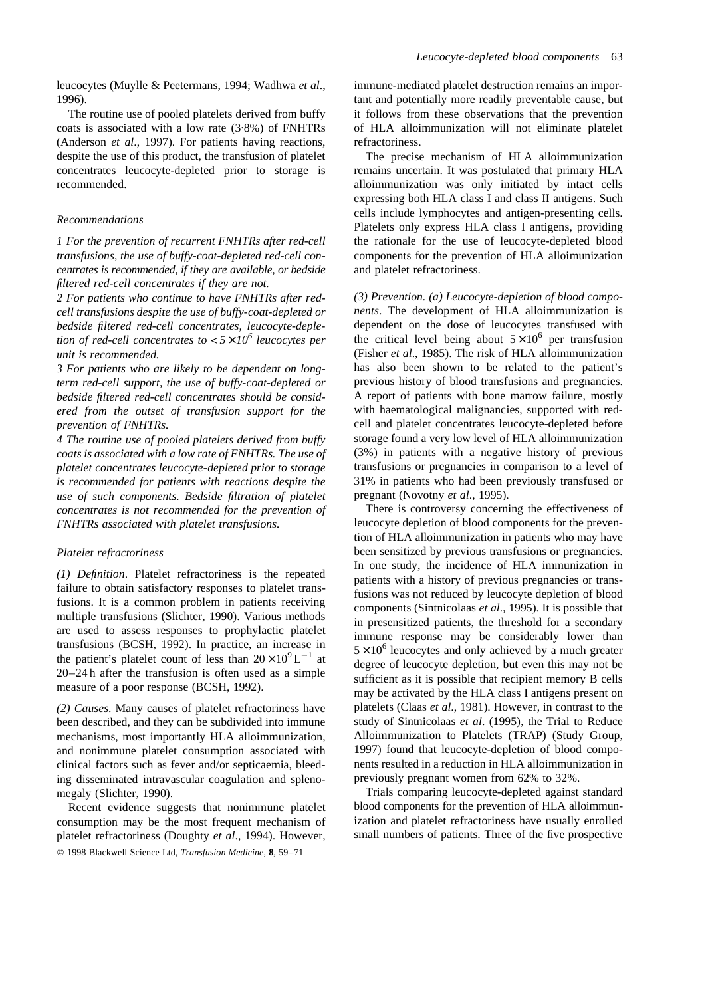leucocytes (Muylle & Peetermans, 1994; Wadhwa *et al*., 1996).

The routine use of pooled platelets derived from buffy coats is associated with a low rate (3·8%) of FNHTRs (Anderson *et al*., 1997). For patients having reactions, despite the use of this product, the transfusion of platelet concentrates leucocyte-depleted prior to storage is recommended.

## *Recommendations*

*1 For the prevention of recurrent FNHTRs after red-cell transfusions, the use of buffy-coat-depleted red-cell concentrates is recommended, if they are available, or bedside filtered red-cell concentrates if they are not.*

*2 For patients who continue to have FNHTRs after redcell transfusions despite the use of buffy-coat-depleted or bedside filtered red-cell concentrates, leucocyte-depletion of red-cell concentrates to* < *5* × *10<sup>6</sup> leucocytes per unit is recommended.*

*3 For patients who are likely to be dependent on longterm red-cell support, the use of buffy-coat-depleted or bedside filtered red-cell concentrates should be considered from the outset of transfusion support for the prevention of FNHTRs.*

*4 The routine use of pooled platelets derived from buffy coats is associated with a low rate of FNHTRs. The use of platelet concentrates leucocyte-depleted prior to storage is recommended for patients with reactions despite the use of such components. Bedside filtration of platelet concentrates is not recommended for the prevention of FNHTRs associated with platelet transfusions.*

## *Platelet refractoriness*

*(1) Definition*. Platelet refractoriness is the repeated failure to obtain satisfactory responses to platelet transfusions. It is a common problem in patients receiving multiple transfusions (Slichter, 1990). Various methods are used to assess responses to prophylactic platelet transfusions (BCSH, 1992). In practice, an increase in the patient's platelet count of less than  $20 \times 10^{9} L^{-1}$  at 20–24 h after the transfusion is often used as a simple measure of a poor response (BCSH, 1992).

*(2) Causes*. Many causes of platelet refractoriness have been described, and they can be subdivided into immune mechanisms, most importantly HLA alloimmunization, and nonimmune platelet consumption associated with clinical factors such as fever and/or septicaemia, bleeding disseminated intravascular coagulation and splenomegaly (Slichter, 1990).

Recent evidence suggests that nonimmune platelet consumption may be the most frequent mechanism of platelet refractoriness (Doughty *et al*., 1994). However, q 1998 Blackwell Science Ltd, *Transfusion Medicine*, **8**, 59–71

immune-mediated platelet destruction remains an important and potentially more readily preventable cause, but it follows from these observations that the prevention of HLA alloimmunization will not eliminate platelet refractoriness.

The precise mechanism of HLA alloimmunization remains uncertain. It was postulated that primary HLA alloimmunization was only initiated by intact cells expressing both HLA class I and class II antigens. Such cells include lymphocytes and antigen-presenting cells. Platelets only express HLA class I antigens, providing the rationale for the use of leucocyte-depleted blood components for the prevention of HLA alloimunization and platelet refractoriness.

*(3) Prevention. (a) Leucocyte-depletion of blood components*. The development of HLA alloimmunization is dependent on the dose of leucocytes transfused with the critical level being about  $5 \times 10^6$  per transfusion (Fisher *et al*., 1985). The risk of HLA alloimmunization has also been shown to be related to the patient's previous history of blood transfusions and pregnancies. A report of patients with bone marrow failure, mostly with haematological malignancies, supported with redcell and platelet concentrates leucocyte-depleted before storage found a very low level of HLA alloimmunization (3%) in patients with a negative history of previous transfusions or pregnancies in comparison to a level of 31% in patients who had been previously transfused or pregnant (Novotny *et al*., 1995).

There is controversy concerning the effectiveness of leucocyte depletion of blood components for the prevention of HLA alloimmunization in patients who may have been sensitized by previous transfusions or pregnancies. In one study, the incidence of HLA immunization in patients with a history of previous pregnancies or transfusions was not reduced by leucocyte depletion of blood components (Sintnicolaas *et al*., 1995). It is possible that in presensitized patients, the threshold for a secondary immune response may be considerably lower than  $5 \times 10^{6}$  leucocytes and only achieved by a much greater degree of leucocyte depletion, but even this may not be sufficient as it is possible that recipient memory B cells may be activated by the HLA class I antigens present on platelets (Claas *et al*., 1981). However, in contrast to the study of Sintnicolaas *et al*. (1995), the Trial to Reduce Alloimmunization to Platelets (TRAP) (Study Group, 1997) found that leucocyte-depletion of blood components resulted in a reduction in HLA alloimmunization in previously pregnant women from 62% to 32%.

Trials comparing leucocyte-depleted against standard blood components for the prevention of HLA alloimmunization and platelet refractoriness have usually enrolled small numbers of patients. Three of the five prospective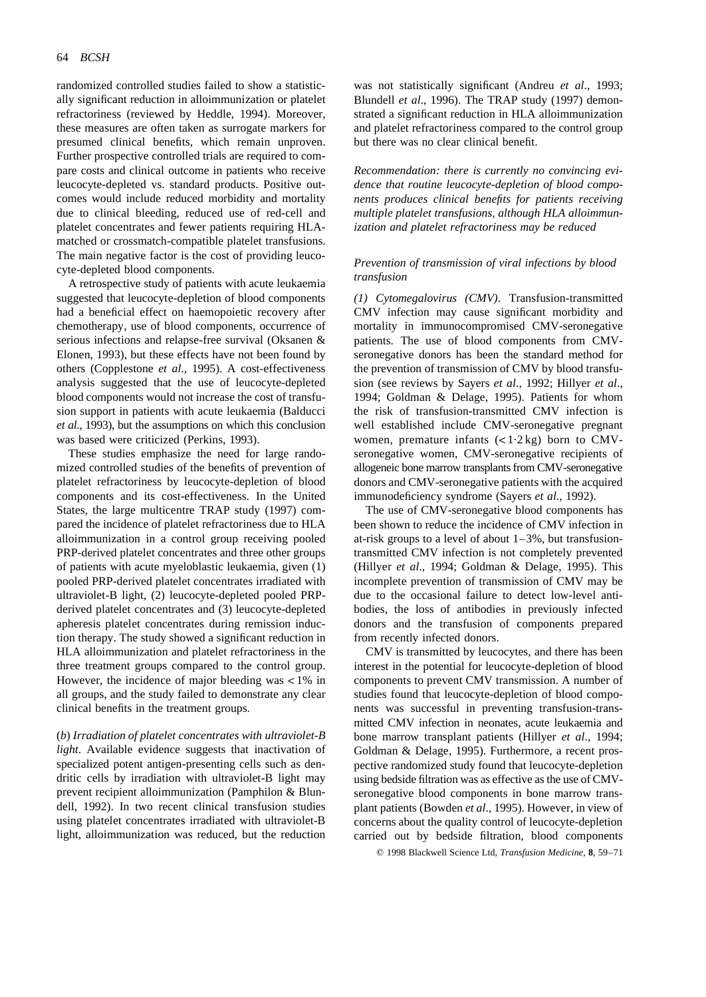randomized controlled studies failed to show a statistically significant reduction in alloimmunization or platelet refractoriness (reviewed by Heddle, 1994). Moreover, these measures are often taken as surrogate markers for presumed clinical benefits, which remain unproven. Further prospective controlled trials are required to compare costs and clinical outcome in patients who receive leucocyte-depleted vs. standard products. Positive outcomes would include reduced morbidity and mortality due to clinical bleeding, reduced use of red-cell and platelet concentrates and fewer patients requiring HLAmatched or crossmatch-compatible platelet transfusions. The main negative factor is the cost of providing leucocyte-depleted blood components.

A retrospective study of patients with acute leukaemia suggested that leucocyte-depletion of blood components had a beneficial effect on haemopoietic recovery after chemotherapy, use of blood components, occurrence of serious infections and relapse-free survival (Oksanen & Elonen, 1993), but these effects have not been found by others (Copplestone *et al*., 1995). A cost-effectiveness analysis suggested that the use of leucocyte-depleted blood components would not increase the cost of transfusion support in patients with acute leukaemia (Balducci *et al*., 1993), but the assumptions on which this conclusion was based were criticized (Perkins, 1993).

These studies emphasize the need for large randomized controlled studies of the benefits of prevention of platelet refractoriness by leucocyte-depletion of blood components and its cost-effectiveness. In the United States, the large multicentre TRAP study (1997) compared the incidence of platelet refractoriness due to HLA alloimmunization in a control group receiving pooled PRP-derived platelet concentrates and three other groups of patients with acute myeloblastic leukaemia, given (1) pooled PRP-derived platelet concentrates irradiated with ultraviolet-B light, (2) leucocyte-depleted pooled PRPderived platelet concentrates and (3) leucocyte-depleted apheresis platelet concentrates during remission induction therapy. The study showed a significant reduction in HLA alloimmunization and platelet refractoriness in the three treatment groups compared to the control group. However, the incidence of major bleeding was < 1% in all groups, and the study failed to demonstrate any clear clinical benefits in the treatment groups.

(*b*) *Irradiation of platelet concentrates with ultraviolet-B light*. Available evidence suggests that inactivation of specialized potent antigen-presenting cells such as dendritic cells by irradiation with ultraviolet-B light may prevent recipient alloimmunization (Pamphilon & Blundell, 1992). In two recent clinical transfusion studies using platelet concentrates irradiated with ultraviolet-B light, alloimmunization was reduced, but the reduction was not statistically significant (Andreu *et al*., 1993; Blundell *et al*., 1996). The TRAP study (1997) demonstrated a significant reduction in HLA alloimmunization and platelet refractoriness compared to the control group but there was no clear clinical benefit.

*Recommendation: there is currently no convincing evidence that routine leucocyte-depletion of blood components produces clinical benefits for patients receiving multiple platelet transfusions, although HLA alloimmunization and platelet refractoriness may be reduced*

# *Prevention of transmission of viral infections by blood transfusion*

*(1) Cytomegalovirus (CMV)*. Transfusion-transmitted CMV infection may cause significant morbidity and mortality in immunocompromised CMV-seronegative patients. The use of blood components from CMVseronegative donors has been the standard method for the prevention of transmission of CMV by blood transfusion (see reviews by Sayers *et al*., 1992; Hillyer *et al*., 1994; Goldman & Delage, 1995). Patients for whom the risk of transfusion-transmitted CMV infection is well established include CMV-seronegative pregnant women, premature infants  $(<1.2 \text{ kg})$  born to CMVseronegative women, CMV-seronegative recipients of allogeneic bone marrow transplants from CMV-seronegative donors and CMV-seronegative patients with the acquired immunodeficiency syndrome (Sayers *et al*., 1992).

The use of CMV-seronegative blood components has been shown to reduce the incidence of CMV infection in at-risk groups to a level of about 1–3%, but transfusiontransmitted CMV infection is not completely prevented (Hillyer *et al*., 1994; Goldman & Delage, 1995). This incomplete prevention of transmission of CMV may be due to the occasional failure to detect low-level antibodies, the loss of antibodies in previously infected donors and the transfusion of components prepared from recently infected donors.

CMV is transmitted by leucocytes, and there has been interest in the potential for leucocyte-depletion of blood components to prevent CMV transmission. A number of studies found that leucocyte-depletion of blood components was successful in preventing transfusion-transmitted CMV infection in neonates, acute leukaemia and bone marrow transplant patients (Hillyer *et al*., 1994; Goldman & Delage, 1995). Furthermore, a recent prospective randomized study found that leucocyte-depletion using bedside filtration was as effective as the use of CMVseronegative blood components in bone marrow transplant patients (Bowden *et al*., 1995). However, in view of concerns about the quality control of leucocyte-depletion carried out by bedside filtration, blood components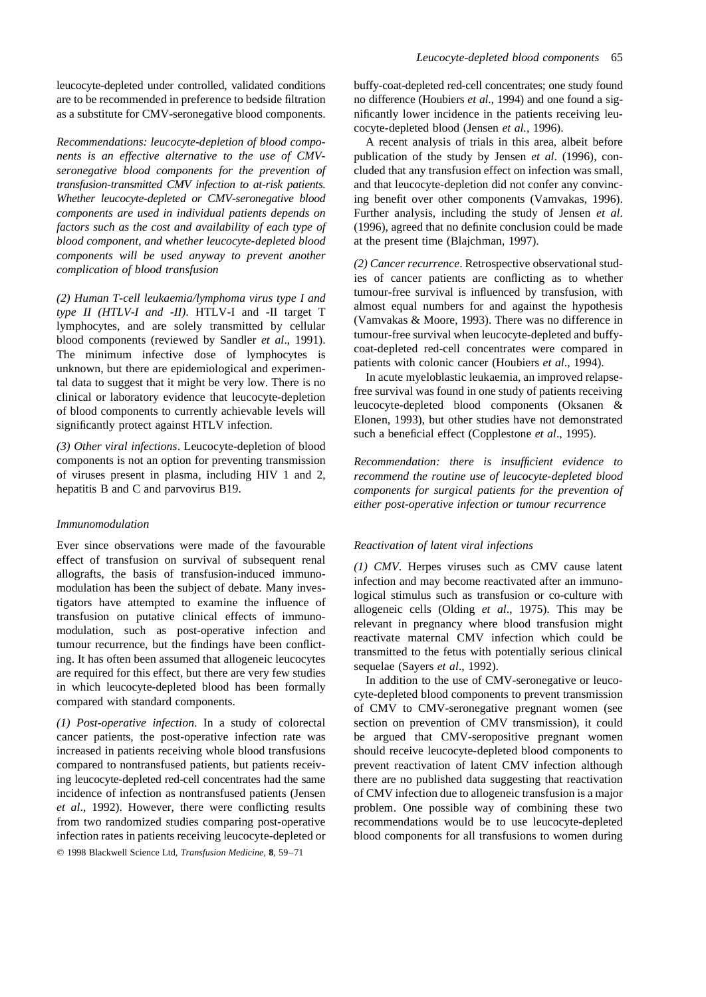leucocyte-depleted under controlled, validated conditions are to be recommended in preference to bedside filtration as a substitute for CMV-seronegative blood components.

*Recommendations: leucocyte-depletion of blood components is an effective alternative to the use of CMVseronegative blood components for the prevention of transfusion-transmitted CMV infection to at-risk patients. Whether leucocyte-depleted or CMV-seronegative blood components are used in individual patients depends on factors such as the cost and availability of each type of blood component, and whether leucocyte-depleted blood components will be used anyway to prevent another complication of blood transfusion*

*(2) Human T-cell leukaemia/lymphoma virus type I and type II (HTLV-I and -II)*. HTLV-I and -II target T lymphocytes, and are solely transmitted by cellular blood components (reviewed by Sandler *et al*., 1991). The minimum infective dose of lymphocytes is unknown, but there are epidemiological and experimental data to suggest that it might be very low. There is no clinical or laboratory evidence that leucocyte-depletion of blood components to currently achievable levels will significantly protect against HTLV infection.

*(3) Other viral infections*. Leucocyte-depletion of blood components is not an option for preventing transmission of viruses present in plasma, including HIV 1 and 2, hepatitis B and C and parvovirus B19.

#### *Immunomodulation*

Ever since observations were made of the favourable effect of transfusion on survival of subsequent renal allografts, the basis of transfusion-induced immunomodulation has been the subject of debate. Many investigators have attempted to examine the influence of transfusion on putative clinical effects of immunomodulation, such as post-operative infection and tumour recurrence, but the findings have been conflicting. It has often been assumed that allogeneic leucocytes are required for this effect, but there are very few studies in which leucocyte-depleted blood has been formally compared with standard components.

*(1) Post-operative infection*. In a study of colorectal cancer patients, the post-operative infection rate was increased in patients receiving whole blood transfusions compared to nontransfused patients, but patients receiving leucocyte-depleted red-cell concentrates had the same incidence of infection as nontransfused patients (Jensen *et al*., 1992). However, there were conflicting results from two randomized studies comparing post-operative infection rates in patients receiving leucocyte-depleted or q 1998 Blackwell Science Ltd, *Transfusion Medicine*, **8**, 59–71

buffy-coat-depleted red-cell concentrates; one study found no difference (Houbiers *et al*., 1994) and one found a significantly lower incidence in the patients receiving leucocyte-depleted blood (Jensen *et al.*, 1996).

A recent analysis of trials in this area, albeit before publication of the study by Jensen *et al*. (1996), concluded that any transfusion effect on infection was small, and that leucocyte-depletion did not confer any convincing benefit over other components (Vamvakas, 1996). Further analysis, including the study of Jensen *et al*. (1996), agreed that no definite conclusion could be made at the present time (Blajchman, 1997).

*(2) Cancer recurrence*. Retrospective observational studies of cancer patients are conflicting as to whether tumour-free survival is influenced by transfusion, with almost equal numbers for and against the hypothesis (Vamvakas & Moore, 1993). There was no difference in tumour-free survival when leucocyte-depleted and buffycoat-depleted red-cell concentrates were compared in patients with colonic cancer (Houbiers *et al*., 1994).

In acute myeloblastic leukaemia, an improved relapsefree survival was found in one study of patients receiving leucocyte-depleted blood components (Oksanen & Elonen, 1993), but other studies have not demonstrated such a beneficial effect (Copplestone *et al*., 1995).

*Recommendation: there is insufficient evidence to recommend the routine use of leucocyte-depleted blood components for surgical patients for the prevention of either post-operative infection or tumour recurrence*

#### *Reactivation of latent viral infections*

*(1) CMV*. Herpes viruses such as CMV cause latent infection and may become reactivated after an immunological stimulus such as transfusion or co-culture with allogeneic cells (Olding *et al*., 1975). This may be relevant in pregnancy where blood transfusion might reactivate maternal CMV infection which could be transmitted to the fetus with potentially serious clinical sequelae (Sayers *et al*., 1992).

In addition to the use of CMV-seronegative or leucocyte-depleted blood components to prevent transmission of CMV to CMV-seronegative pregnant women (see section on prevention of CMV transmission), it could be argued that CMV-seropositive pregnant women should receive leucocyte-depleted blood components to prevent reactivation of latent CMV infection although there are no published data suggesting that reactivation of CMV infection due to allogeneic transfusion is a major problem. One possible way of combining these two recommendations would be to use leucocyte-depleted blood components for all transfusions to women during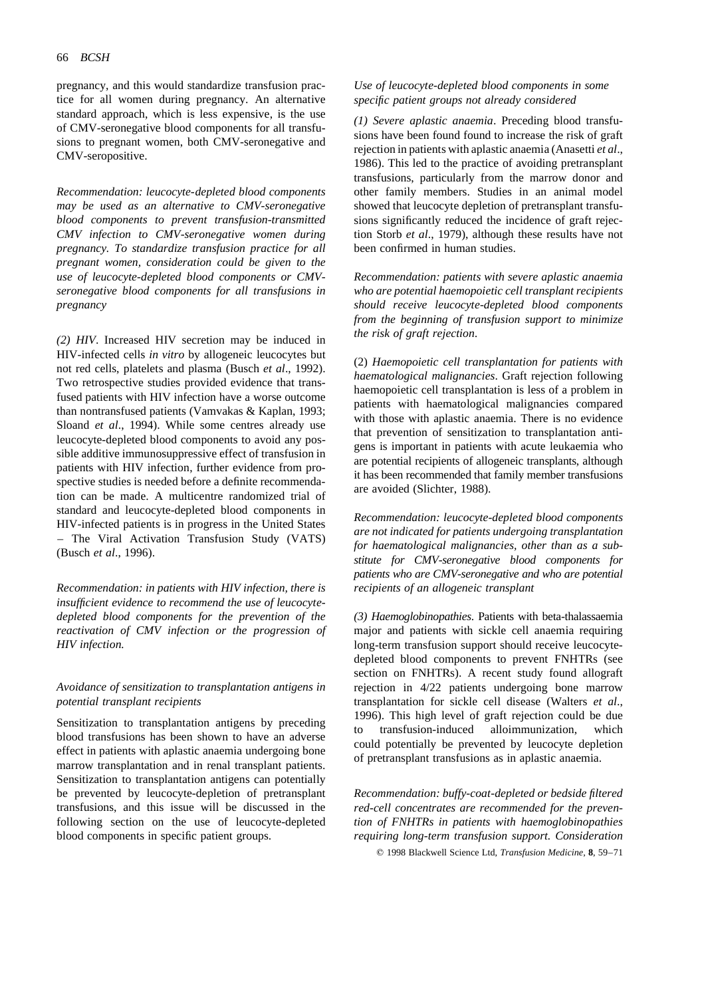pregnancy, and this would standardize transfusion practice for all women during pregnancy. An alternative standard approach, which is less expensive, is the use of CMV-seronegative blood components for all transfusions to pregnant women, both CMV-seronegative and CMV-seropositive.

*Recommendation: leucocyte-depleted blood components may be used as an alternative to CMV-seronegative blood components to prevent transfusion-transmitted CMV infection to CMV-seronegative women during pregnancy. To standardize transfusion practice for all pregnant women, consideration could be given to the use of leucocyte-depleted blood components or CMVseronegative blood components for all transfusions in pregnancy*

*(2) HIV*. Increased HIV secretion may be induced in HIV-infected cells *in vitro* by allogeneic leucocytes but not red cells, platelets and plasma (Busch *et al*., 1992). Two retrospective studies provided evidence that transfused patients with HIV infection have a worse outcome than nontransfused patients (Vamvakas & Kaplan, 1993; Sloand *et al*., 1994). While some centres already use leucocyte-depleted blood components to avoid any possible additive immunosuppressive effect of transfusion in patients with HIV infection, further evidence from prospective studies is needed before a definite recommendation can be made. A multicentre randomized trial of standard and leucocyte-depleted blood components in HIV-infected patients is in progress in the United States – The Viral Activation Transfusion Study (VATS) (Busch *et al*., 1996).

*Recommendation: in patients with HIV infection, there is insufficient evidence to recommend the use of leucocytedepleted blood components for the prevention of the reactivation of CMV infection or the progression of HIV infection.*

# *Avoidance of sensitization to transplantation antigens in potential transplant recipients*

Sensitization to transplantation antigens by preceding blood transfusions has been shown to have an adverse effect in patients with aplastic anaemia undergoing bone marrow transplantation and in renal transplant patients. Sensitization to transplantation antigens can potentially be prevented by leucocyte-depletion of pretransplant transfusions, and this issue will be discussed in the following section on the use of leucocyte-depleted blood components in specific patient groups.

# *Use of leucocyte-depleted blood components in some specific patient groups not already considered*

*(1) Severe aplastic anaemia*. Preceding blood transfusions have been found found to increase the risk of graft rejection in patients with aplastic anaemia (Anasetti *et al*., 1986). This led to the practice of avoiding pretransplant transfusions, particularly from the marrow donor and other family members. Studies in an animal model showed that leucocyte depletion of pretransplant transfusions significantly reduced the incidence of graft rejection Storb *et al*., 1979), although these results have not been confirmed in human studies.

*Recommendation: patients with severe aplastic anaemia who are potential haemopoietic cell transplant recipients should receive leucocyte-depleted blood components from the beginning of transfusion support to minimize the risk of graft rejection.*

(2) *Haemopoietic cell transplantation for patients with haematological malignancies*. Graft rejection following haemopoietic cell transplantation is less of a problem in patients with haematological malignancies compared with those with aplastic anaemia. There is no evidence that prevention of sensitization to transplantation antigens is important in patients with acute leukaemia who are potential recipients of allogeneic transplants, although it has been recommended that family member transfusions are avoided (Slichter, 1988).

*Recommendation: leucocyte-depleted blood components are not indicated for patients undergoing transplantation for haematological malignancies, other than as a substitute for CMV-seronegative blood components for patients who are CMV-seronegative and who are potential recipients of an allogeneic transplant*

*(3) Haemoglobinopathies*. Patients with beta-thalassaemia major and patients with sickle cell anaemia requiring long-term transfusion support should receive leucocytedepleted blood components to prevent FNHTRs (see section on FNHTRs). A recent study found allograft rejection in 4/22 patients undergoing bone marrow transplantation for sickle cell disease (Walters *et al*., 1996). This high level of graft rejection could be due to transfusion-induced alloimmunization, which could potentially be prevented by leucocyte depletion of pretransplant transfusions as in aplastic anaemia.

*Recommendation: buffy-coat-depleted or bedside filtered red-cell concentrates are recommended for the prevention of FNHTRs in patients with haemoglobinopathies requiring long-term transfusion support. Consideration*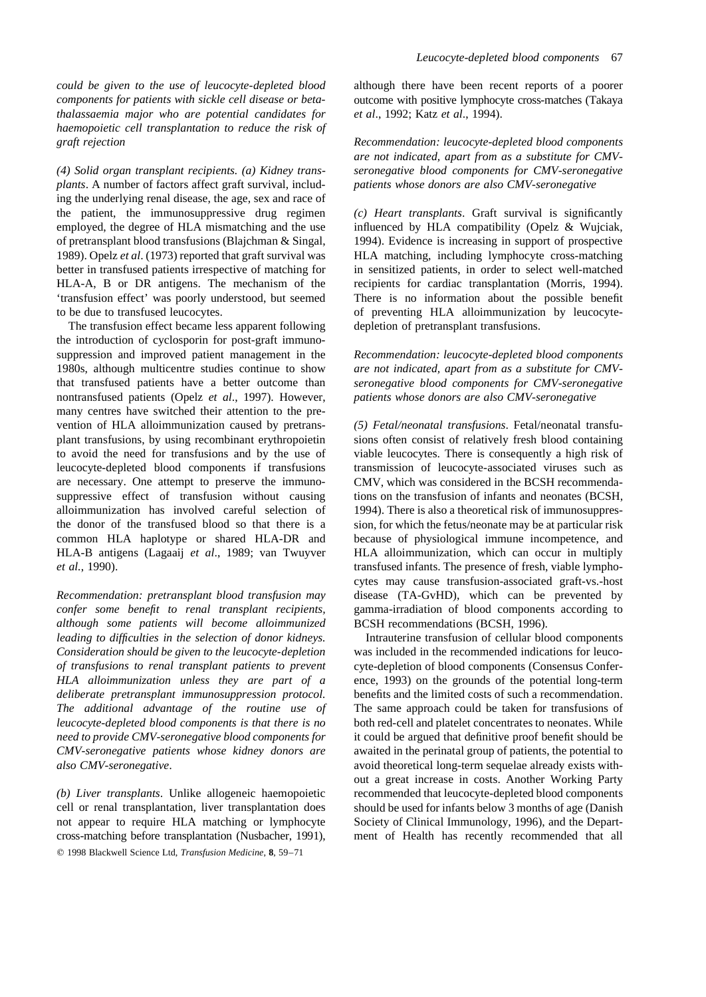*could be given to the use of leucocyte-depleted blood components for patients with sickle cell disease or betathalassaemia major who are potential candidates for haemopoietic cell transplantation to reduce the risk of graft rejection*

*(4) Solid organ transplant recipients. (a) Kidney transplants*. A number of factors affect graft survival, including the underlying renal disease, the age, sex and race of the patient, the immunosuppressive drug regimen employed, the degree of HLA mismatching and the use of pretransplant blood transfusions (Blajchman & Singal, 1989). Opelz *et al*. (1973) reported that graft survival was better in transfused patients irrespective of matching for HLA-A, B or DR antigens. The mechanism of the 'transfusion effect' was poorly understood, but seemed to be due to transfused leucocytes.

The transfusion effect became less apparent following the introduction of cyclosporin for post-graft immunosuppression and improved patient management in the 1980s, although multicentre studies continue to show that transfused patients have a better outcome than nontransfused patients (Opelz *et al*., 1997). However, many centres have switched their attention to the prevention of HLA alloimmunization caused by pretransplant transfusions, by using recombinant erythropoietin to avoid the need for transfusions and by the use of leucocyte-depleted blood components if transfusions are necessary. One attempt to preserve the immunosuppressive effect of transfusion without causing alloimmunization has involved careful selection of the donor of the transfused blood so that there is a common HLA haplotype or shared HLA-DR and HLA-B antigens (Lagaaij *et al*., 1989; van Twuyver *et al.*, 1990).

*Recommendation: pretransplant blood transfusion may confer some benefit to renal transplant recipients, although some patients will become alloimmunized leading to difficulties in the selection of donor kidneys. Consideration should be given to the leucocyte-depletion of transfusions to renal transplant patients to prevent HLA alloimmunization unless they are part of a deliberate pretransplant immunosuppression protocol. The additional advantage of the routine use of leucocyte-depleted blood components is that there is no need to provide CMV-seronegative blood components for CMV-seronegative patients whose kidney donors are also CMV-seronegative.*

*(b) Liver transplants*. Unlike allogeneic haemopoietic cell or renal transplantation, liver transplantation does not appear to require HLA matching or lymphocyte cross-matching before transplantation (Nusbacher, 1991), q 1998 Blackwell Science Ltd, *Transfusion Medicine*, **8**, 59–71

although there have been recent reports of a poorer outcome with positive lymphocyte cross-matches (Takaya *et al*., 1992; Katz *et al*., 1994).

*Recommendation: leucocyte-depleted blood components are not indicated, apart from as a substitute for CMVseronegative blood components for CMV-seronegative patients whose donors are also CMV-seronegative*

*(c) Heart transplants*. Graft survival is significantly influenced by HLA compatibility (Opelz & Wujciak, 1994). Evidence is increasing in support of prospective HLA matching, including lymphocyte cross-matching in sensitized patients, in order to select well-matched recipients for cardiac transplantation (Morris, 1994). There is no information about the possible benefit of preventing HLA alloimmunization by leucocytedepletion of pretransplant transfusions.

*Recommendation: leucocyte-depleted blood components are not indicated, apart from as a substitute for CMVseronegative blood components for CMV-seronegative patients whose donors are also CMV-seronegative*

*(5) Fetal/neonatal transfusions*. Fetal/neonatal transfusions often consist of relatively fresh blood containing viable leucocytes. There is consequently a high risk of transmission of leucocyte-associated viruses such as CMV, which was considered in the BCSH recommendations on the transfusion of infants and neonates (BCSH, 1994). There is also a theoretical risk of immunosuppression, for which the fetus/neonate may be at particular risk because of physiological immune incompetence, and HLA alloimmunization, which can occur in multiply transfused infants. The presence of fresh, viable lymphocytes may cause transfusion-associated graft-vs.-host disease (TA-GvHD), which can be prevented by gamma-irradiation of blood components according to BCSH recommendations (BCSH, 1996).

Intrauterine transfusion of cellular blood components was included in the recommended indications for leucocyte-depletion of blood components (Consensus Conference, 1993) on the grounds of the potential long-term benefits and the limited costs of such a recommendation. The same approach could be taken for transfusions of both red-cell and platelet concentrates to neonates. While it could be argued that definitive proof benefit should be awaited in the perinatal group of patients, the potential to avoid theoretical long-term sequelae already exists without a great increase in costs. Another Working Party recommended that leucocyte-depleted blood components should be used for infants below 3 months of age (Danish Society of Clinical Immunology, 1996), and the Department of Health has recently recommended that all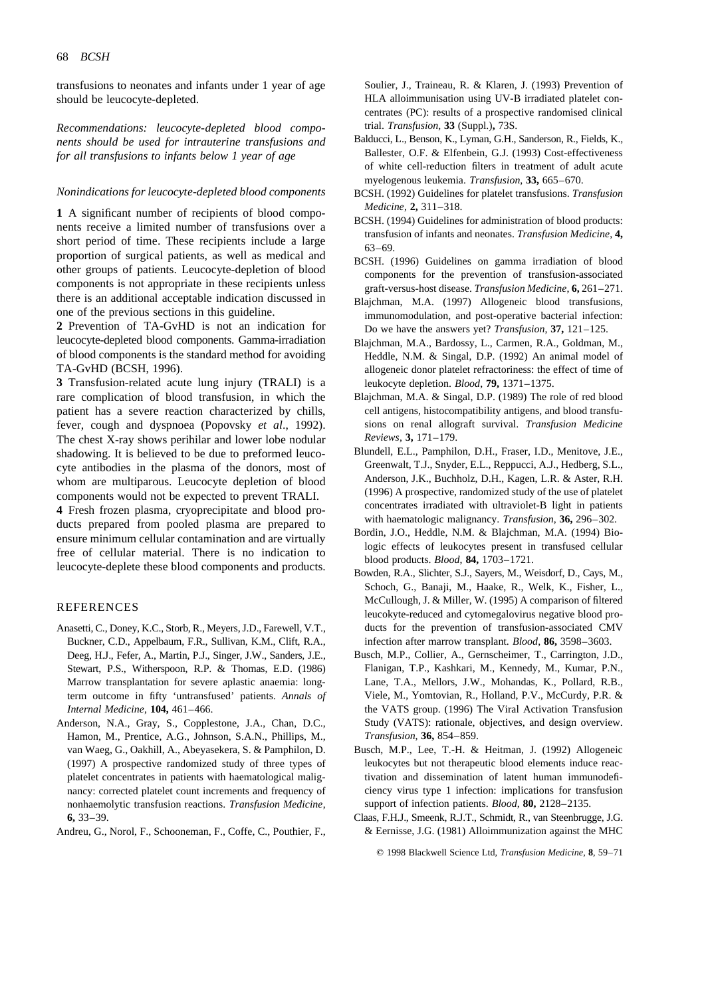transfusions to neonates and infants under 1 year of age should be leucocyte-depleted.

*Recommendations: leucocyte-depleted blood components should be used for intrauterine transfusions and for all transfusions to infants below 1 year of age*

## *Nonindications for leucocyte-depleted blood components*

**1** A significant number of recipients of blood components receive a limited number of transfusions over a short period of time. These recipients include a large proportion of surgical patients, as well as medical and other groups of patients. Leucocyte-depletion of blood components is not appropriate in these recipients unless there is an additional acceptable indication discussed in one of the previous sections in this guideline.

**2** Prevention of TA-GvHD is not an indication for leucocyte-depleted blood components. Gamma-irradiation of blood components is the standard method for avoiding TA-GvHD (BCSH, 1996).

**3** Transfusion-related acute lung injury (TRALI) is a rare complication of blood transfusion, in which the patient has a severe reaction characterized by chills, fever, cough and dyspnoea (Popovsky *et al*., 1992). The chest X-ray shows perihilar and lower lobe nodular shadowing. It is believed to be due to preformed leucocyte antibodies in the plasma of the donors, most of whom are multiparous. Leucocyte depletion of blood components would not be expected to prevent TRALI. **4** Fresh frozen plasma, cryoprecipitate and blood products prepared from pooled plasma are prepared to ensure minimum cellular contamination and are virtually free of cellular material. There is no indication to

# REFERENCES

Anasetti, C., Doney, K.C., Storb, R., Meyers, J.D., Farewell, V.T., Buckner, C.D., Appelbaum, F.R., Sullivan, K.M., Clift, R.A., Deeg, H.J., Fefer, A., Martin, P.J., Singer, J.W., Sanders, J.E., Stewart, P.S., Witherspoon, R.P. & Thomas, E.D. (1986) Marrow transplantation for severe aplastic anaemia: longterm outcome in fifty 'untransfused' patients. *Annals of Internal Medicine*, **104,** 461–466.

leucocyte-deplete these blood components and products.

Anderson, N.A., Gray, S., Copplestone, J.A., Chan, D.C., Hamon, M., Prentice, A.G., Johnson, S.A.N., Phillips, M., van Waeg, G., Oakhill, A., Abeyasekera, S. & Pamphilon, D. (1997) A prospective randomized study of three types of platelet concentrates in patients with haematological malignancy: corrected platelet count increments and frequency of nonhaemolytic transfusion reactions. *Transfusion Medicine*, **6,** 33–39.

Andreu, G., Norol, F., Schooneman, F., Coffe, C., Pouthier, F.,

Soulier, J., Traineau, R. & Klaren, J. (1993) Prevention of HLA alloimmunisation using UV-B irradiated platelet concentrates (PC): results of a prospective randomised clinical trial. *Transfusion*, **33** (Suppl.)**,** 73S.

- Balducci, L., Benson, K., Lyman, G.H., Sanderson, R., Fields, K., Ballester, O.F. & Elfenbein, G.J. (1993) Cost-effectiveness of white cell-reduction filters in treatment of adult acute myelogenous leukemia. *Transfusion*, **33,** 665–670.
- BCSH. (1992) Guidelines for platelet transfusions. *Transfusion Medicine*, **2,** 311–318.
- BCSH. (1994) Guidelines for administration of blood products: transfusion of infants and neonates. *Transfusion Medicine*, **4,** 63–69.
- BCSH. (1996) Guidelines on gamma irradiation of blood components for the prevention of transfusion-associated graft-versus-host disease. *Transfusion Medicine*, **6,** 261–271.
- Blajchman, M.A. (1997) Allogeneic blood transfusions, immunomodulation, and post-operative bacterial infection: Do we have the answers yet? *Transfusion*, **37,** 121–125.
- Blajchman, M.A., Bardossy, L., Carmen, R.A., Goldman, M., Heddle, N.M. & Singal, D.P. (1992) An animal model of allogeneic donor platelet refractoriness: the effect of time of leukocyte depletion. *Blood*, **79,** 1371–1375.
- Blajchman, M.A. & Singal, D.P. (1989) The role of red blood cell antigens, histocompatibility antigens, and blood transfusions on renal allograft survival. *Transfusion Medicine Reviews*, **3,** 171–179.
- Blundell, E.L., Pamphilon, D.H., Fraser, I.D., Menitove, J.E., Greenwalt, T.J., Snyder, E.L., Reppucci, A.J., Hedberg, S.L., Anderson, J.K., Buchholz, D.H., Kagen, L.R. & Aster, R.H. (1996) A prospective, randomized study of the use of platelet concentrates irradiated with ultraviolet-B light in patients with haematologic malignancy. *Transfusion*, **36,** 296–302.
- Bordin, J.O., Heddle, N.M. & Blajchman, M.A. (1994) Biologic effects of leukocytes present in transfused cellular blood products. *Blood*, **84,** 1703–1721.
- Bowden, R.A., Slichter, S.J., Sayers, M., Weisdorf, D., Cays, M., Schoch, G., Banaji, M., Haake, R., Welk, K., Fisher, L., McCullough, J. & Miller, W. (1995) A comparison of filtered leucokyte-reduced and cytomegalovirus negative blood products for the prevention of transfusion-associated CMV infection after marrow transplant. *Blood*, **86,** 3598–3603.
- Busch, M.P., Collier, A., Gernscheimer, T., Carrington, J.D., Flanigan, T.P., Kashkari, M., Kennedy, M., Kumar, P.N., Lane, T.A., Mellors, J.W., Mohandas, K., Pollard, R.B., Viele, M., Yomtovian, R., Holland, P.V., McCurdy, P.R. & the VATS group. (1996) The Viral Activation Transfusion Study (VATS): rationale, objectives, and design overview. *Transfusion*, **36,** 854–859.
- Busch, M.P., Lee, T.-H. & Heitman, J. (1992) Allogeneic leukocytes but not therapeutic blood elements induce reactivation and dissemination of latent human immunodeficiency virus type 1 infection: implications for transfusion support of infection patients. *Blood*, **80,** 2128–2135.
- Claas, F.H.J., Smeenk, R.J.T., Schmidt, R., van Steenbrugge, J.G. & Eernisse, J.G. (1981) Alloimmunization against the MHC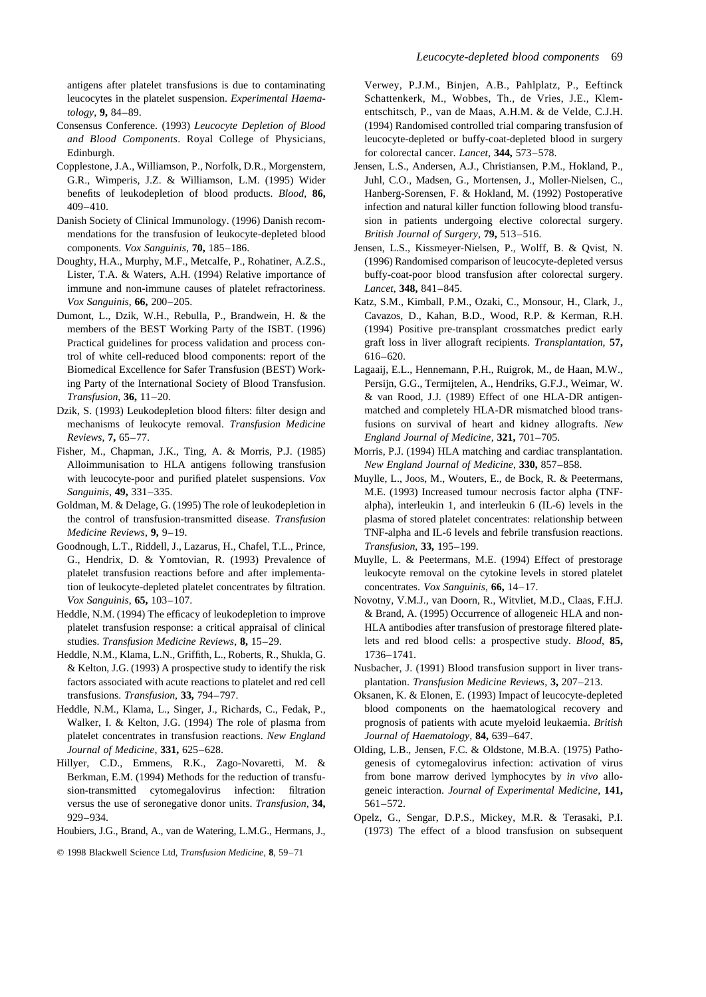antigens after platelet transfusions is due to contaminating leucocytes in the platelet suspension. *Experimental Haematology*, **9,** 84–89.

- Consensus Conference. (1993) *Leucocyte Depletion of Blood and Blood Components*. Royal College of Physicians, **Edinburgh**
- Copplestone, J.A., Williamson, P., Norfolk, D.R., Morgenstern, G.R., Wimperis, J.Z. & Williamson, L.M. (1995) Wider benefits of leukodepletion of blood products. *Blood*, **86,** 409–410.
- Danish Society of Clinical Immunology. (1996) Danish recommendations for the transfusion of leukocyte-depleted blood components. *Vox Sanguinis*, **70,** 185–186.
- Doughty, H.A., Murphy, M.F., Metcalfe, P., Rohatiner, A.Z.S., Lister, T.A. & Waters, A.H. (1994) Relative importance of immune and non-immune causes of platelet refractoriness. *Vox Sanguinis*, **66,** 200–205.
- Dumont, L., Dzik, W.H., Rebulla, P., Brandwein, H. & the members of the BEST Working Party of the ISBT. (1996) Practical guidelines for process validation and process control of white cell-reduced blood components: report of the Biomedical Excellence for Safer Transfusion (BEST) Working Party of the International Society of Blood Transfusion. *Transfusion*, **36,** 11–20.
- Dzik, S. (1993) Leukodepletion blood filters: filter design and mechanisms of leukocyte removal. *Transfusion Medicine Reviews*, **7,** 65–77.
- Fisher, M., Chapman, J.K., Ting, A. & Morris, P.J. (1985) Alloimmunisation to HLA antigens following transfusion with leucocyte-poor and purified platelet suspensions. *Vox Sanguinis*, **49,** 331–335.
- Goldman, M. & Delage, G. (1995) The role of leukodepletion in the control of transfusion-transmitted disease. *Transfusion Medicine Reviews*, **9,** 9–19.
- Goodnough, L.T., Riddell, J., Lazarus, H., Chafel, T.L., Prince, G., Hendrix, D. & Yomtovian, R. (1993) Prevalence of platelet transfusion reactions before and after implementation of leukocyte-depleted platelet concentrates by filtration. *Vox Sanguinis*, **65,** 103–107.
- Heddle, N.M. (1994) The efficacy of leukodepletion to improve platelet transfusion response: a critical appraisal of clinical studies. *Transfusion Medicine Reviews*, **8,** 15–29.
- Heddle, N.M., Klama, L.N., Griffith, L., Roberts, R., Shukla, G. & Kelton, J.G. (1993) A prospective study to identify the risk factors associated with acute reactions to platelet and red cell transfusions. *Transfusion*, **33,** 794–797.
- Heddle, N.M., Klama, L., Singer, J., Richards, C., Fedak, P., Walker, I. & Kelton, J.G. (1994) The role of plasma from platelet concentrates in transfusion reactions. *New England Journal of Medicine*, **331,** 625–628.
- Hillyer, C.D., Emmens, R.K., Zago-Novaretti, M. & Berkman, E.M. (1994) Methods for the reduction of transfusion-transmitted cytomegalovirus infection: filtration versus the use of seronegative donor units. *Transfusion*, **34,** 929–934.
- Houbiers, J.G., Brand, A., van de Watering, L.M.G., Hermans, J.,
- q 1998 Blackwell Science Ltd, *Transfusion Medicine*, **8**, 59–71

Verwey, P.J.M., Binjen, A.B., Pahlplatz, P., Eeftinck Schattenkerk, M., Wobbes, Th., de Vries, J.E., Klementschitsch, P., van de Maas, A.H.M. & de Velde, C.J.H. (1994) Randomised controlled trial comparing transfusion of leucocyte-depleted or buffy-coat-depleted blood in surgery for colorectal cancer. *Lancet*, **344,** 573–578.

- Jensen, L.S., Andersen, A.J., Christiansen, P.M., Hokland, P., Juhl, C.O., Madsen, G., Mortensen, J., Moller-Nielsen, C., Hanberg-Sorensen, F. & Hokland, M. (1992) Postoperative infection and natural killer function following blood transfusion in patients undergoing elective colorectal surgery. *British Journal of Surgery*, **79,** 513–516.
- Jensen, L.S., Kissmeyer-Nielsen, P., Wolff, B. & Qvist, N. (1996) Randomised comparison of leucocyte-depleted versus buffy-coat-poor blood transfusion after colorectal surgery. *Lancet*, **348,** 841–845.
- Katz, S.M., Kimball, P.M., Ozaki, C., Monsour, H., Clark, J., Cavazos, D., Kahan, B.D., Wood, R.P. & Kerman, R.H. (1994) Positive pre-transplant crossmatches predict early graft loss in liver allograft recipients. *Transplantation*, **57,** 616–620.
- Lagaaij, E.L., Hennemann, P.H., Ruigrok, M., de Haan, M.W., Persijn, G.G., Termijtelen, A., Hendriks, G.F.J., Weimar, W. & van Rood, J.J. (1989) Effect of one HLA-DR antigenmatched and completely HLA-DR mismatched blood transfusions on survival of heart and kidney allografts. *New England Journal of Medicine*, **321,** 701–705.
- Morris, P.J. (1994) HLA matching and cardiac transplantation. *New England Journal of Medicine*, **330,** 857–858.
- Muylle, L., Joos, M., Wouters, E., de Bock, R. & Peetermans, M.E. (1993) Increased tumour necrosis factor alpha (TNFalpha), interleukin 1, and interleukin 6 (IL-6) levels in the plasma of stored platelet concentrates: relationship between TNF-alpha and IL-6 levels and febrile transfusion reactions. *Transfusion*, **33,** 195–199.
- Muylle, L. & Peetermans, M.E. (1994) Effect of prestorage leukocyte removal on the cytokine levels in stored platelet concentrates. *Vox Sanguinis*, **66,** 14–17.
- Novotny, V.M.J., van Doorn, R., Witvliet, M.D., Claas, F.H.J. & Brand, A. (1995) Occurrence of allogeneic HLA and non-HLA antibodies after transfusion of prestorage filtered platelets and red blood cells: a prospective study. *Blood*, **85,** 1736–1741.
- Nusbacher, J. (1991) Blood transfusion support in liver transplantation. *Transfusion Medicine Reviews*, **3,** 207–213.
- Oksanen, K. & Elonen, E. (1993) Impact of leucocyte-depleted blood components on the haematological recovery and prognosis of patients with acute myeloid leukaemia. *British Journal of Haematology*, **84,** 639–647.
- Olding, L.B., Jensen, F.C. & Oldstone, M.B.A. (1975) Pathogenesis of cytomegalovirus infection: activation of virus from bone marrow derived lymphocytes by *in vivo* allogeneic interaction. *Journal of Experimental Medicine*, **141,** 561–572.
- Opelz, G., Sengar, D.P.S., Mickey, M.R. & Terasaki, P.I. (1973) The effect of a blood transfusion on subsequent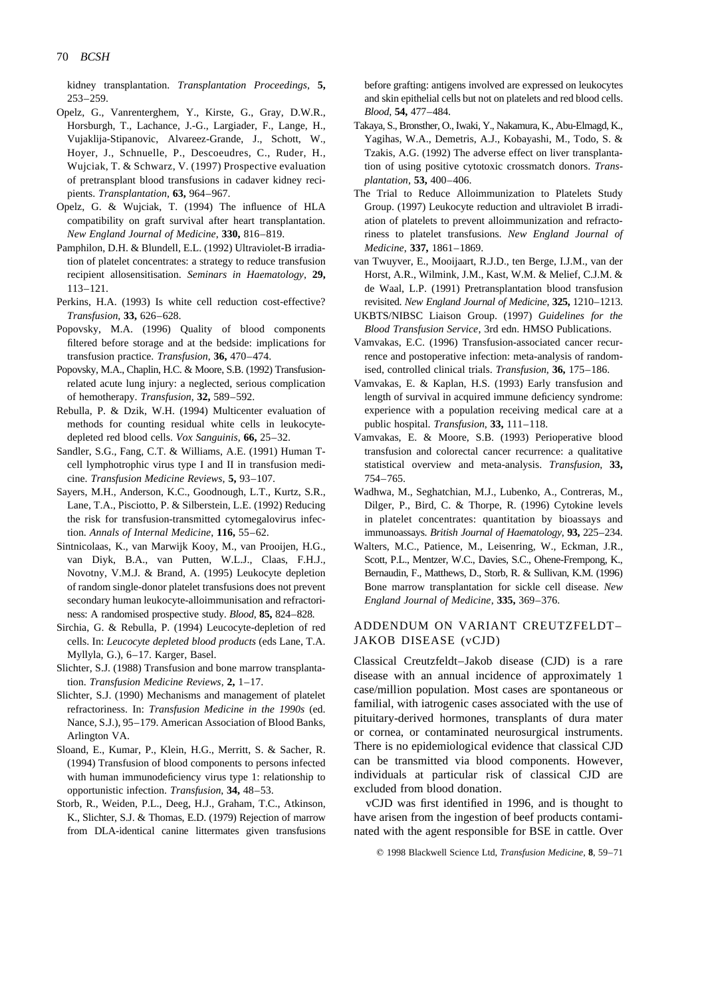kidney transplantation. *Transplantation Proceedings*, **5,** 253–259.

- Opelz, G., Vanrenterghem, Y., Kirste, G., Gray, D.W.R., Horsburgh, T., Lachance, J.-G., Largiader, F., Lange, H., Vujaklija-Stipanovic, Alvareez-Grande, J., Schott, W., Hoyer, J., Schnuelle, P., Descoeudres, C., Ruder, H., Wujciak, T. & Schwarz, V. (1997) Prospective evaluation of pretransplant blood transfusions in cadaver kidney recipients. *Transplantation*, **63,** 964–967.
- Opelz, G. & Wujciak, T. (1994) The influence of HLA compatibility on graft survival after heart transplantation. *New England Journal of Medicine*, **330,** 816–819.
- Pamphilon, D.H. & Blundell, E.L. (1992) Ultraviolet-B irradiation of platelet concentrates: a strategy to reduce transfusion recipient allosensitisation. *Seminars in Haematology*, **29,** 113–121.
- Perkins, H.A. (1993) Is white cell reduction cost-effective? *Transfusion*, **33,** 626–628.
- Popovsky, M.A. (1996) Quality of blood components filtered before storage and at the bedside: implications for transfusion practice. *Transfusion*, **36,** 470–474.
- Popovsky, M.A., Chaplin, H.C. & Moore, S.B. (1992) Transfusionrelated acute lung injury: a neglected, serious complication of hemotherapy. *Transfusion*, **32,** 589–592.
- Rebulla, P. & Dzik, W.H. (1994) Multicenter evaluation of methods for counting residual white cells in leukocytedepleted red blood cells. *Vox Sanguinis*, **66,** 25–32.
- Sandler, S.G., Fang, C.T. & Williams, A.E. (1991) Human Tcell lymphotrophic virus type I and II in transfusion medicine. *Transfusion Medicine Reviews*, **5,** 93–107.
- Sayers, M.H., Anderson, K.C., Goodnough, L.T., Kurtz, S.R., Lane, T.A., Pisciotto, P. & Silberstein, L.E. (1992) Reducing the risk for transfusion-transmitted cytomegalovirus infection. *Annals of Internal Medicine*, **116,** 55–62.
- Sintnicolaas, K., van Marwijk Kooy, M., van Prooijen, H.G., van Diyk, B.A., van Putten, W.L.J., Claas, F.H.J., Novotny, V.M.J. & Brand, A. (1995) Leukocyte depletion of random single-donor platelet transfusions does not prevent secondary human leukocyte-alloimmunisation and refractoriness: A randomised prospective study. *Blood*, **85,** 824–828.
- Sirchia, G. & Rebulla, P. (1994) Leucocyte-depletion of red cells. In: *Leucocyte depleted blood products* (eds Lane, T.A. Myllyla, G.), 6–17. Karger, Basel.
- Slichter, S.J. (1988) Transfusion and bone marrow transplantation. *Transfusion Medicine Reviews*, **2,** 1–17.
- Slichter, S.J. (1990) Mechanisms and management of platelet refractoriness. In: *Transfusion Medicine in the 1990s* (ed. Nance, S.J.), 95–179. American Association of Blood Banks, Arlington VA.
- Sloand, E., Kumar, P., Klein, H.G., Merritt, S. & Sacher, R. (1994) Transfusion of blood components to persons infected with human immunodeficiency virus type 1: relationship to opportunistic infection. *Transfusion*, **34,** 48–53.
- Storb, R., Weiden, P.L., Deeg, H.J., Graham, T.C., Atkinson, K., Slichter, S.J. & Thomas, E.D. (1979) Rejection of marrow from DLA-identical canine littermates given transfusions

before grafting: antigens involved are expressed on leukocytes and skin epithelial cells but not on platelets and red blood cells. *Blood*, **54,** 477–484.

- Takaya, S., Bronsther, O., Iwaki, Y., Nakamura, K., Abu-Elmagd, K., Yagihas, W.A., Demetris, A.J., Kobayashi, M., Todo, S. & Tzakis, A.G. (1992) The adverse effect on liver transplantation of using positive cytotoxic crossmatch donors. *Transplantation*, **53,** 400–406.
- The Trial to Reduce Alloimmunization to Platelets Study Group. (1997) Leukocyte reduction and ultraviolet B irradiation of platelets to prevent alloimmunization and refractoriness to platelet transfusions. *New England Journal of Medicine*, **337,** 1861–1869.
- van Twuyver, E., Mooijaart, R.J.D., ten Berge, I.J.M., van der Horst, A.R., Wilmink, J.M., Kast, W.M. & Melief, C.J.M. & de Waal, L.P. (1991) Pretransplantation blood transfusion revisited. *New England Journal of Medicine*, **325,** 1210–1213.
- UKBTS/NIBSC Liaison Group. (1997) *Guidelines for the Blood Transfusion Service*, 3rd edn. HMSO Publications.
- Vamvakas, E.C. (1996) Transfusion-associated cancer recurrence and postoperative infection: meta-analysis of randomised, controlled clinical trials. *Transfusion*, **36,** 175–186.
- Vamvakas, E. & Kaplan, H.S. (1993) Early transfusion and length of survival in acquired immune deficiency syndrome: experience with a population receiving medical care at a public hospital. *Transfusion*, **33,** 111–118.
- Vamvakas, E. & Moore, S.B. (1993) Perioperative blood transfusion and colorectal cancer recurrence: a qualitative statistical overview and meta-analysis. *Transfusion*, **33,** 754–765.
- Wadhwa, M., Seghatchian, M.J., Lubenko, A., Contreras, M., Dilger, P., Bird, C. & Thorpe, R. (1996) Cytokine levels in platelet concentrates: quantitation by bioassays and immunoassays. *British Journal of Haematology*, **93,** 225–234.
- Walters, M.C., Patience, M., Leisenring, W., Eckman, J.R., Scott, P.L., Mentzer, W.C., Davies, S.C., Ohene-Frempong, K., Bernaudin, F., Matthews, D., Storb, R. & Sullivan, K.M. (1996) Bone marrow transplantation for sickle cell disease. *New England Journal of Medicine*, **335,** 369–376.

# ADDENDUM ON VARIANT CREUTZFELDT– JAKOB DISEASE (vCJD)

Classical Creutzfeldt–Jakob disease (CJD) is a rare disease with an annual incidence of approximately 1 case/million population. Most cases are spontaneous or familial, with iatrogenic cases associated with the use of pituitary-derived hormones, transplants of dura mater or cornea, or contaminated neurosurgical instruments. There is no epidemiological evidence that classical CJD can be transmitted via blood components. However, individuals at particular risk of classical CJD are excluded from blood donation.

vCJD was first identified in 1996, and is thought to have arisen from the ingestion of beef products contaminated with the agent responsible for BSE in cattle. Over

q 1998 Blackwell Science Ltd, *Transfusion Medicine*, **8**, 59–71